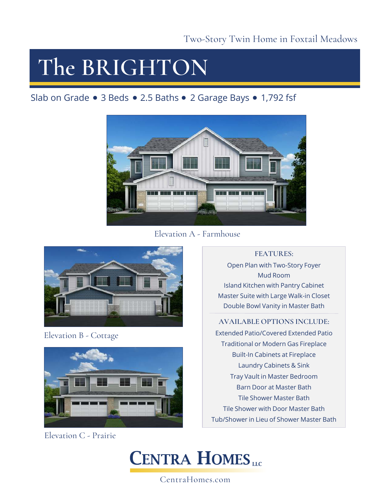## **The BRIGHTON**

Slab on Grade • 3 Beds • 2.5 Baths • 2 Garage Bays • 1,792 fsf



Elevation A - Farmhouse



Elevation B - Cottage



Elevation C - Prairie

**FEATURES:**

Open Plan with Two-Story Foyer Mud Room Island Kitchen with Pantry Cabinet Master Suite with Large Walk-in Closet Double Bowl Vanity in Master Bath

### **AVAILABLE OPTIONS INCLUDE:**

Extended Patio/Covered Extended Patio Traditional or Modern Gas Fireplace Built-In Cabinets at Fireplace Laundry Cabinets & Sink Tray Vault in Master Bedroom Barn Door at Master Bath Tile Shower Master Bath Tile Shower with Door Master Bath Tub/Shower in Lieu of Shower Master Bath



CentraHomes.com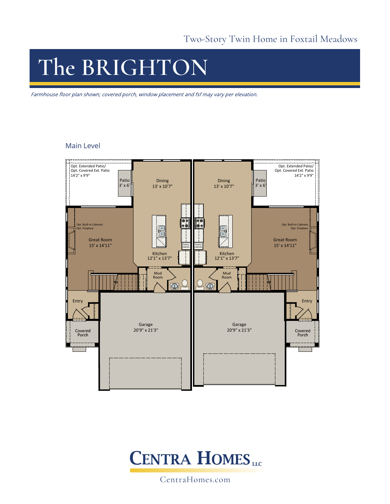## **The BRIGHTON**

Farmhouse floor plan shown; covered porch, window placement and fsf may vary per elevation.

#### Main Level





CentraHomes.com